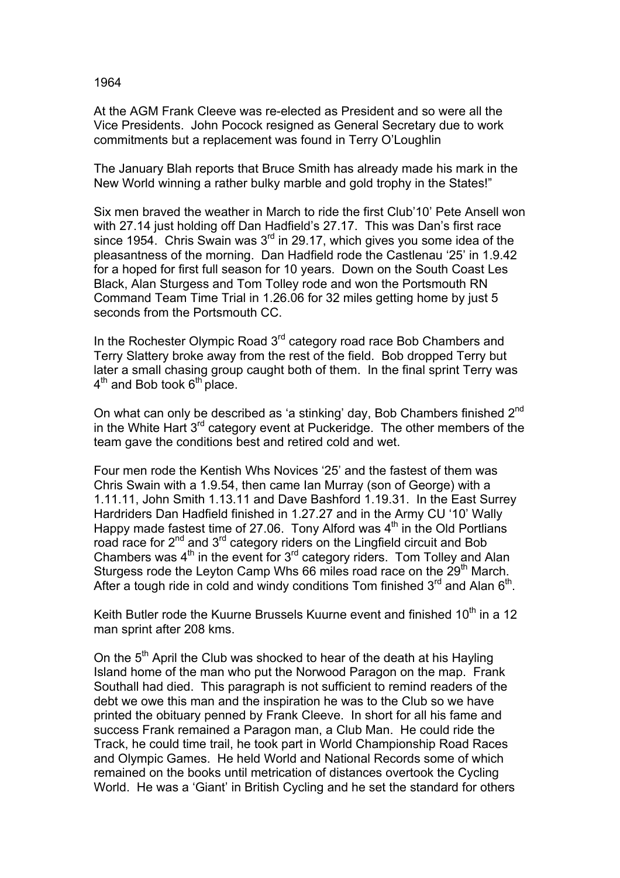1964

At the AGM Frank Cleeve was re-elected as President and so were all the Vice Presidents. John Pocock resigned as General Secretary due to work commitments but a replacement was found in Terry O'Loughlin

The January Blah reports that Bruce Smith has already made his mark in the New World winning a rather bulky marble and gold trophy in the States!"

Six men braved the weather in March to ride the first Club'10' Pete Ansell won with 27.14 just holding off Dan Hadfield's 27.17. This was Dan's first race since 1954. Chris Swain was 3<sup>rd</sup> in 29.17, which gives you some idea of the pleasantness of the morning. Dan Hadfield rode the Castlenau '25' in 1.9.42 for a hoped for first full season for 10 years. Down on the South Coast Les Black, Alan Sturgess and Tom Tolley rode and won the Portsmouth RN Command Team Time Trial in 1.26.06 for 32 miles getting home by just 5 seconds from the Portsmouth CC.

In the Rochester Olympic Road 3<sup>rd</sup> category road race Bob Chambers and Terry Slattery broke away from the rest of the field. Bob dropped Terry but later a small chasing group caught both of them. In the final sprint Terry was  $4<sup>th</sup>$  and Bob took  $6<sup>th</sup>$  place.

On what can only be described as 'a stinking' day, Bob Chambers finished 2<sup>nd</sup> in the White Hart  $3^{rd}$  category event at Puckeridge. The other members of the team gave the conditions best and retired cold and wet.

Four men rode the Kentish Whs Novices '25' and the fastest of them was Chris Swain with a 1.9.54, then came Ian Murray (son of George) with a 1.11.11, John Smith 1.13.11 and Dave Bashford 1.19.31. In the East Surrey Hardriders Dan Hadfield finished in 1.27.27 and in the Army CU '10' Wally Happy made fastest time of 27.06. Tony Alford was  $4<sup>th</sup>$  in the Old Portlians road race for  $2^{nd}$  and  $3^{rd}$  category riders on the Lingfield circuit and Bob Chambers was  $4<sup>th</sup>$  in the event for  $3<sup>rd</sup>$  category riders. Tom Tolley and Alan Sturgess rode the Leyton Camp Whs 66 miles road race on the 29<sup>th</sup> March. After a tough ride in cold and windy conditions Tom finished  $3^{rd}$  and Alan  $6^{th}$ .

Keith Butler rode the Kuurne Brussels Kuurne event and finished 10<sup>th</sup> in a 12 man sprint after 208 kms.

On the 5<sup>th</sup> April the Club was shocked to hear of the death at his Hayling Island home of the man who put the Norwood Paragon on the map. Frank Southall had died. This paragraph is not sufficient to remind readers of the debt we owe this man and the inspiration he was to the Club so we have printed the obituary penned by Frank Cleeve. In short for all his fame and success Frank remained a Paragon man, a Club Man. He could ride the Track, he could time trail, he took part in World Championship Road Races and Olympic Games. He held World and National Records some of which remained on the books until metrication of distances overtook the Cycling World. He was a 'Giant' in British Cycling and he set the standard for others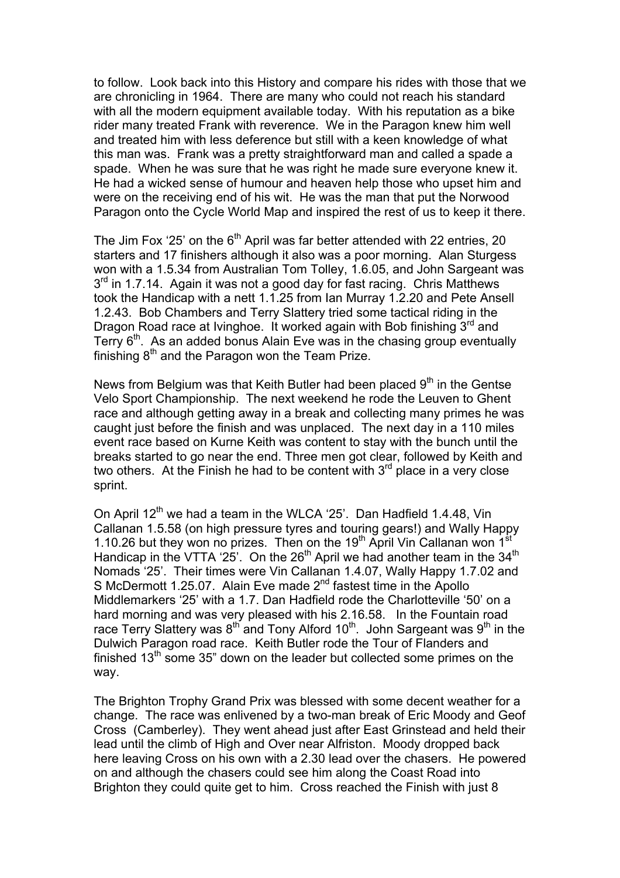to follow. Look back into this History and compare his rides with those that we are chronicling in 1964. There are many who could not reach his standard with all the modern equipment available today. With his reputation as a bike rider many treated Frank with reverence. We in the Paragon knew him well and treated him with less deference but still with a keen knowledge of what this man was. Frank was a pretty straightforward man and called a spade a spade. When he was sure that he was right he made sure everyone knew it. He had a wicked sense of humour and heaven help those who upset him and were on the receiving end of his wit. He was the man that put the Norwood Paragon onto the Cycle World Map and inspired the rest of us to keep it there.

The Jim Fox '25' on the  $6<sup>th</sup>$  April was far better attended with 22 entries, 20 starters and 17 finishers although it also was a poor morning. Alan Sturgess won with a 1.5.34 from Australian Tom Tolley, 1.6.05, and John Sargeant was 3<sup>rd</sup> in 1.7.14. Again it was not a good day for fast racing. Chris Matthews took the Handicap with a nett 1.1.25 from Ian Murray 1.2.20 and Pete Ansell 1.2.43. Bob Chambers and Terry Slattery tried some tactical riding in the Dragon Road race at Ivinghoe. It worked again with Bob finishing  $3<sup>rd</sup>$  and Terry  $6<sup>th</sup>$ . As an added bonus Alain Eve was in the chasing group eventually finishing  $8<sup>th</sup>$  and the Paragon won the Team Prize.

News from Belgium was that Keith Butler had been placed 9<sup>th</sup> in the Gentse Velo Sport Championship. The next weekend he rode the Leuven to Ghent race and although getting away in a break and collecting many primes he was caught just before the finish and was unplaced. The next day in a 110 miles event race based on Kurne Keith was content to stay with the bunch until the breaks started to go near the end. Three men got clear, followed by Keith and two others. At the Finish he had to be content with  $3<sup>rd</sup>$  place in a very close sprint.

On April 12<sup>th</sup> we had a team in the WLCA '25'. Dan Hadfield 1.4.48, Vin Callanan 1.5.58 (on high pressure tyres and touring gears!) and Wally Happy 1.10.26 but they won no prizes. Then on the  $19<sup>th</sup>$  April Vin Callanan won  $1<sup>st</sup>$ Handicap in the VTTA '25'. On the  $26<sup>th</sup>$  April we had another team in the  $34<sup>th</sup>$ Nomads '25'. Their times were Vin Callanan 1.4.07, Wally Happy 1.7.02 and S McDermott 1.25.07. Alain Eve made 2<sup>nd</sup> fastest time in the Apollo Middlemarkers '25' with a 1.7. Dan Hadfield rode the Charlotteville '50' on a hard morning and was very pleased with his 2.16.58. In the Fountain road race Terry Slattery was 8<sup>th</sup> and Tony Alford 10<sup>th</sup>. John Sargeant was 9<sup>th</sup> in the Dulwich Paragon road race. Keith Butler rode the Tour of Flanders and finished  $13<sup>th</sup>$  some 35" down on the leader but collected some primes on the way.

The Brighton Trophy Grand Prix was blessed with some decent weather for a change. The race was enlivened by a two-man break of Eric Moody and Geof Cross (Camberley). They went ahead just after East Grinstead and held their lead until the climb of High and Over near Alfriston. Moody dropped back here leaving Cross on his own with a 2.30 lead over the chasers. He powered on and although the chasers could see him along the Coast Road into Brighton they could quite get to him. Cross reached the Finish with just 8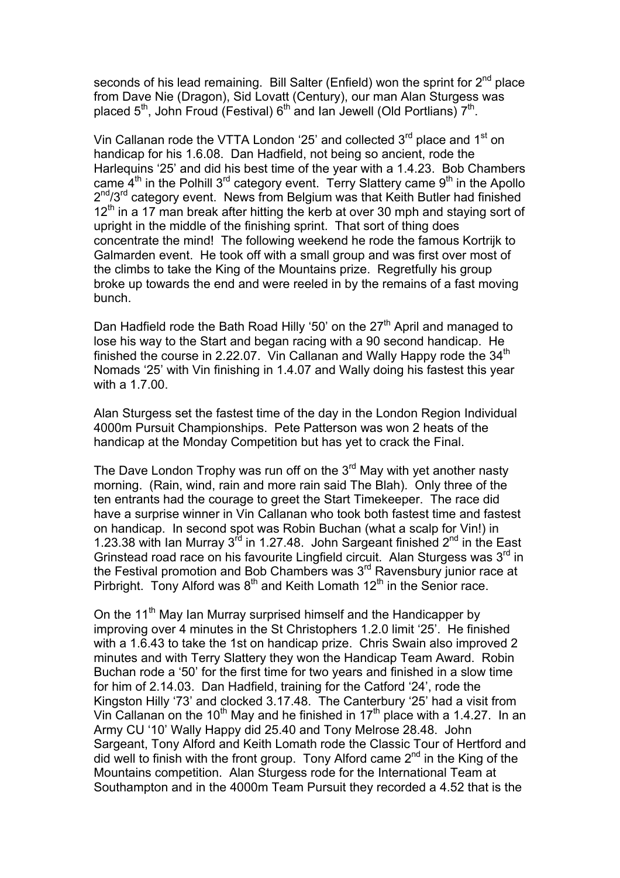seconds of his lead remaining. Bill Salter (Enfield) won the sprint for  $2^{nd}$  place from Dave Nie (Dragon), Sid Lovatt (Century), our man Alan Sturgess was placed  $5<sup>th</sup>$ , John Froud (Festival)  $6<sup>th</sup>$  and Ian Jewell (Old Portlians)  $7<sup>th</sup>$ .

Vin Callanan rode the VTTA London '25' and collected  $3<sup>rd</sup>$  place and 1<sup>st</sup> on handicap for his 1.6.08. Dan Hadfield, not being so ancient, rode the Harlequins '25' and did his best time of the year with a 1.4.23. Bob Chambers came  $4<sup>th</sup>$  in the Polhill 3<sup>rd</sup> category event. Terry Slattery came 9<sup>th</sup> in the Apollo  $2^{nd}/3^{rd}$  category event. News from Belgium was that Keith Butler had finished  $12<sup>th</sup>$  in a 17 man break after hitting the kerb at over 30 mph and staving sort of upright in the middle of the finishing sprint. That sort of thing does concentrate the mind! The following weekend he rode the famous Kortrijk to Galmarden event. He took off with a small group and was first over most of the climbs to take the King of the Mountains prize. Regretfully his group broke up towards the end and were reeled in by the remains of a fast moving bunch.

Dan Hadfield rode the Bath Road Hilly '50' on the 27<sup>th</sup> April and managed to lose his way to the Start and began racing with a 90 second handicap. He finished the course in 2.22.07. Vin Callanan and Wally Happy rode the  $34<sup>th</sup>$ Nomads '25' with Vin finishing in 1.4.07 and Wally doing his fastest this year with a 1.7.00.

Alan Sturgess set the fastest time of the day in the London Region Individual 4000m Pursuit Championships. Pete Patterson was won 2 heats of the handicap at the Monday Competition but has yet to crack the Final.

The Dave London Trophy was run off on the  $3<sup>rd</sup>$  May with yet another nasty morning. (Rain, wind, rain and more rain said The Blah). Only three of the ten entrants had the courage to greet the Start Timekeeper. The race did have a surprise winner in Vin Callanan who took both fastest time and fastest on handicap. In second spot was Robin Buchan (what a scalp for Vin!) in 1.23.38 with Ian Murray 3<sup>rd</sup> in 1.27.48. John Sargeant finished 2<sup>nd</sup> in the East Grinstead road race on his favourite Lingfield circuit. Alan Sturgess was 3<sup>rd</sup> in the Festival promotion and Bob Chambers was 3<sup>rd</sup> Ravensbury junior race at Pirbright. Tony Alford was  $8<sup>th</sup>$  and Keith Lomath 12<sup>th</sup> in the Senior race.

On the 11<sup>th</sup> May Ian Murray surprised himself and the Handicapper by improving over 4 minutes in the St Christophers 1.2.0 limit '25'. He finished with a 1.6.43 to take the 1st on handicap prize. Chris Swain also improved 2 minutes and with Terry Slattery they won the Handicap Team Award. Robin Buchan rode a '50' for the first time for two years and finished in a slow time for him of 2.14.03. Dan Hadfield, training for the Catford '24', rode the Kingston Hilly '73' and clocked 3.17.48. The Canterbury '25' had a visit from Vin Callanan on the 10<sup>th</sup> May and he finished in 17<sup>th</sup> place with a 1.4.27. In an Army CU '10' Wally Happy did 25.40 and Tony Melrose 28.48. John Sargeant, Tony Alford and Keith Lomath rode the Classic Tour of Hertford and did well to finish with the front group. Tony Alford came  $2^{nd}$  in the King of the Mountains competition. Alan Sturgess rode for the International Team at Southampton and in the 4000m Team Pursuit they recorded a 4.52 that is the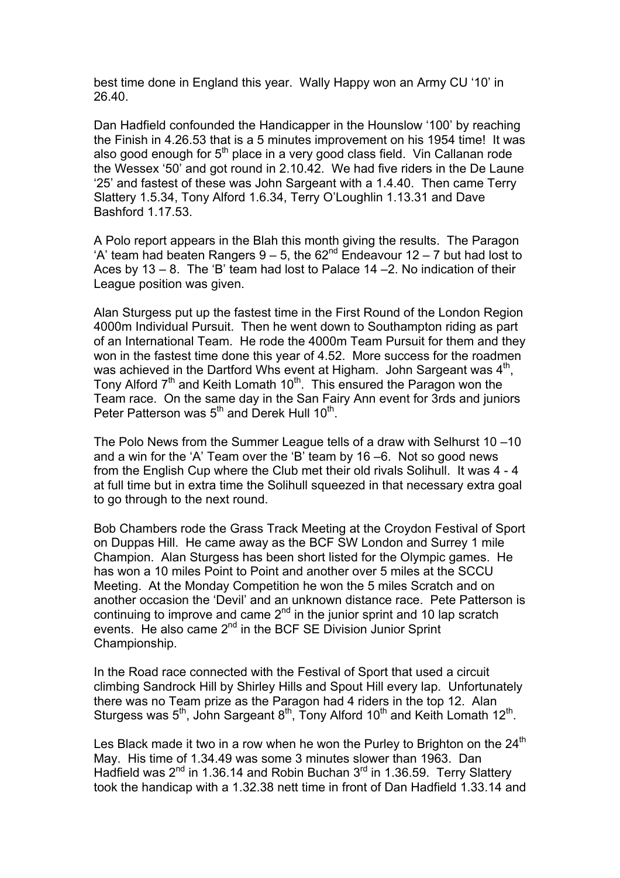best time done in England this year. Wally Happy won an Army CU '10' in 26.40.

Dan Hadfield confounded the Handicapper in the Hounslow '100' by reaching the Finish in 4.26.53 that is a 5 minutes improvement on his 1954 time! It was also good enough for  $5<sup>th</sup>$  place in a very good class field. Vin Callanan rode the Wessex '50' and got round in 2.10.42. We had five riders in the De Laune '25' and fastest of these was John Sargeant with a 1.4.40. Then came Terry Slattery 1.5.34, Tony Alford 1.6.34, Terry O'Loughlin 1.13.31 and Dave Bashford 1.17.53.

A Polo report appears in the Blah this month giving the results. The Paragon 'A' team had beaten Rangers  $9 - 5$ , the  $62<sup>nd</sup>$  Endeavour  $12 - 7$  but had lost to Aces by 13 – 8. The 'B' team had lost to Palace 14 –2. No indication of their League position was given.

Alan Sturgess put up the fastest time in the First Round of the London Region 4000m Individual Pursuit. Then he went down to Southampton riding as part of an International Team. He rode the 4000m Team Pursuit for them and they won in the fastest time done this year of 4.52. More success for the roadmen was achieved in the Dartford Whs event at Higham. John Sargeant was 4<sup>th</sup>, Tony Alford  $7<sup>th</sup>$  and Keith Lomath 10<sup>th</sup>. This ensured the Paragon won the Team race. On the same day in the San Fairy Ann event for 3rds and juniors Peter Patterson was  $5<sup>th</sup>$  and Derek Hull 10<sup>th</sup>.

The Polo News from the Summer League tells of a draw with Selhurst 10 –10 and a win for the 'A' Team over the 'B' team by 16 –6. Not so good news from the English Cup where the Club met their old rivals Solihull. It was 4 - 4 at full time but in extra time the Solihull squeezed in that necessary extra goal to go through to the next round.

Bob Chambers rode the Grass Track Meeting at the Croydon Festival of Sport on Duppas Hill. He came away as the BCF SW London and Surrey 1 mile Champion. Alan Sturgess has been short listed for the Olympic games. He has won a 10 miles Point to Point and another over 5 miles at the SCCU Meeting. At the Monday Competition he won the 5 miles Scratch and on another occasion the 'Devil' and an unknown distance race. Pete Patterson is continuing to improve and came  $2<sup>nd</sup>$  in the junior sprint and 10 lap scratch events. He also came 2<sup>nd</sup> in the BCF SE Division Junior Sprint Championship.

In the Road race connected with the Festival of Sport that used a circuit climbing Sandrock Hill by Shirley Hills and Spout Hill every lap. Unfortunately there was no Team prize as the Paragon had 4 riders in the top 12. Alan Sturgess was  $5<sup>th</sup>$ , John Sargeant  $8<sup>th</sup>$ , Tony Alford 10<sup>th</sup> and Keith Lomath 12<sup>th</sup>.

Les Black made it two in a row when he won the Purley to Brighton on the  $24<sup>th</sup>$ May. His time of 1.34.49 was some 3 minutes slower than 1963. Dan Hadfield was  $2^{nd}$  in 1.36.14 and Robin Buchan  $3^{rd}$  in 1.36.59. Terry Slattery took the handicap with a 1.32.38 nett time in front of Dan Hadfield 1.33.14 and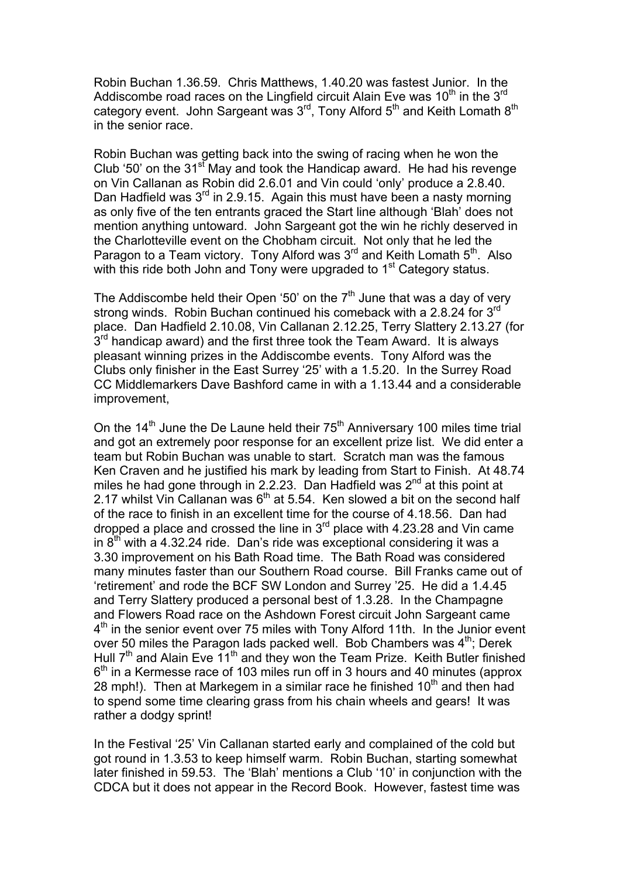Robin Buchan 1.36.59. Chris Matthews, 1.40.20 was fastest Junior. In the Addiscombe road races on the Lingfield circuit Alain Eve was  $10<sup>th</sup>$  in the 3<sup>rd</sup> category event. John Sargeant was 3<sup>rd</sup>, Tony Alford 5<sup>th</sup> and Keith Lomath 8<sup>th</sup> in the senior race.

Robin Buchan was getting back into the swing of racing when he won the Club '50' on the  $31<sup>sf</sup>$  May and took the Handicap award. He had his revenge on Vin Callanan as Robin did 2.6.01 and Vin could 'only' produce a 2.8.40. Dan Hadfield was  $3<sup>rd</sup>$  in 2.9.15. Again this must have been a nasty morning as only five of the ten entrants graced the Start line although 'Blah' does not mention anything untoward. John Sargeant got the win he richly deserved in the Charlotteville event on the Chobham circuit. Not only that he led the Paragon to a Team victory. Tony Alford was 3<sup>rd</sup> and Keith Lomath 5<sup>th</sup>. Also with this ride both John and Tony were upgraded to 1<sup>st</sup> Category status.

The Addiscombe held their Open '50' on the  $7<sup>th</sup>$  June that was a day of very strong winds. Robin Buchan continued his comeback with a 2.8.24 for 3<sup>rd</sup> place. Dan Hadfield 2.10.08, Vin Callanan 2.12.25, Terry Slattery 2.13.27 (for  $3<sup>rd</sup>$  handicap award) and the first three took the Team Award. It is always pleasant winning prizes in the Addiscombe events. Tony Alford was the Clubs only finisher in the East Surrey '25' with a 1.5.20. In the Surrey Road CC Middlemarkers Dave Bashford came in with a 1.13.44 and a considerable improvement,

On the  $14<sup>th</sup>$  June the De Laune held their  $75<sup>th</sup>$  Anniversary 100 miles time trial and got an extremely poor response for an excellent prize list. We did enter a team but Robin Buchan was unable to start. Scratch man was the famous Ken Craven and he justified his mark by leading from Start to Finish. At 48.74 miles he had gone through in 2.2.23. Dan Hadfield was  $2^{nd}$  at this point at 2.17 whilst Vin Callanan was  $6<sup>th</sup>$  at 5.54. Ken slowed a bit on the second half of the race to finish in an excellent time for the course of 4.18.56. Dan had dropped a place and crossed the line in  $3<sup>rd</sup>$  place with 4.23.28 and Vin came in  $8<sup>th</sup>$  with a 4.32.24 ride. Dan's ride was exceptional considering it was a 3.30 improvement on his Bath Road time. The Bath Road was considered many minutes faster than our Southern Road course. Bill Franks came out of 'retirement' and rode the BCF SW London and Surrey '25. He did a 1.4.45 and Terry Slattery produced a personal best of 1.3.28. In the Champagne and Flowers Road race on the Ashdown Forest circuit John Sargeant came 4<sup>th</sup> in the senior event over 75 miles with Tony Alford 11th. In the Junior event over 50 miles the Paragon lads packed well. Bob Chambers was  $4<sup>th</sup>$ ; Derek Hull  $7<sup>th</sup>$  and Alain Eve  $11<sup>th</sup>$  and they won the Team Prize. Keith Butler finished  $6<sup>th</sup>$  in a Kermesse race of 103 miles run off in 3 hours and 40 minutes (approx 28 mph!). Then at Markegem in a similar race he finished  $10<sup>th</sup>$  and then had to spend some time clearing grass from his chain wheels and gears! It was rather a dodgy sprint!

In the Festival '25' Vin Callanan started early and complained of the cold but got round in 1.3.53 to keep himself warm. Robin Buchan, starting somewhat later finished in 59.53. The 'Blah' mentions a Club '10' in conjunction with the CDCA but it does not appear in the Record Book. However, fastest time was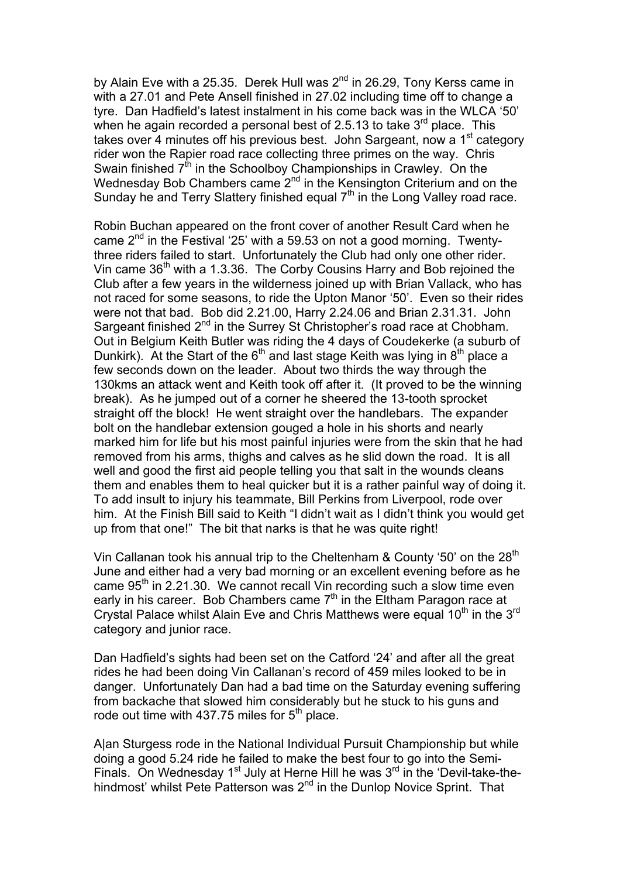by Alain Eve with a 25.35. Derek Hull was  $2^{nd}$  in 26.29, Tony Kerss came in with a 27.01 and Pete Ansell finished in 27.02 including time off to change a tyre. Dan Hadfield's latest instalment in his come back was in the WLCA '50' when he again recorded a personal best of 2.5.13 to take  $3<sup>rd</sup>$  place. This takes over 4 minutes off his previous best. John Sargeant, now a 1<sup>st</sup> category rider won the Rapier road race collecting three primes on the way. Chris Swain finished  $7<sup>th</sup>$  in the Schoolboy Championships in Crawley. On the Wednesday Bob Chambers came  $2<sup>nd</sup>$  in the Kensington Criterium and on the Sunday he and Terry Slattery finished equal  $7<sup>th</sup>$  in the Long Valley road race.

Robin Buchan appeared on the front cover of another Result Card when he came  $2<sup>nd</sup>$  in the Festival '25' with a 59.53 on not a good morning. Twentythree riders failed to start. Unfortunately the Club had only one other rider. Vin came  $36<sup>th</sup>$  with a 1.3.36. The Corby Cousins Harry and Bob rejoined the Club after a few years in the wilderness joined up with Brian Vallack, who has not raced for some seasons, to ride the Upton Manor '50'. Even so their rides were not that bad. Bob did 2.21.00, Harry 2.24.06 and Brian 2.31.31. John Sargeant finished 2<sup>nd</sup> in the Surrey St Christopher's road race at Chobham. Out in Belgium Keith Butler was riding the 4 days of Coudekerke (a suburb of Dunkirk). At the Start of the  $6<sup>th</sup>$  and last stage Keith was lying in  $8<sup>th</sup>$  place a few seconds down on the leader. About two thirds the way through the 130kms an attack went and Keith took off after it. (It proved to be the winning break). As he jumped out of a corner he sheered the 13-tooth sprocket straight off the block! He went straight over the handlebars. The expander bolt on the handlebar extension gouged a hole in his shorts and nearly marked him for life but his most painful injuries were from the skin that he had removed from his arms, thighs and calves as he slid down the road. It is all well and good the first aid people telling you that salt in the wounds cleans them and enables them to heal quicker but it is a rather painful way of doing it. To add insult to injury his teammate, Bill Perkins from Liverpool, rode over him. At the Finish Bill said to Keith "I didn't wait as I didn't think you would get up from that one!" The bit that narks is that he was quite right!

Vin Callanan took his annual trip to the Cheltenham & County '50' on the  $28<sup>th</sup>$ June and either had a very bad morning or an excellent evening before as he came  $95<sup>th</sup>$  in 2.21.30. We cannot recall Vin recording such a slow time even early in his career. Bob Chambers came  $7<sup>th</sup>$  in the Eltham Paragon race at Crystal Palace whilst Alain Eve and Chris Matthews were equal 10<sup>th</sup> in the 3<sup>rd</sup> category and junior race.

Dan Hadfield's sights had been set on the Catford '24' and after all the great rides he had been doing Vin Callanan's record of 459 miles looked to be in danger. Unfortunately Dan had a bad time on the Saturday evening suffering from backache that slowed him considerably but he stuck to his guns and rode out time with 437.75 miles for  $5<sup>th</sup>$  place.

A|an Sturgess rode in the National Individual Pursuit Championship but while doing a good 5.24 ride he failed to make the best four to go into the Semi-Finals. On Wednesday 1<sup>st</sup> July at Herne Hill he was  $3<sup>rd</sup>$  in the 'Devil-take-thehindmost' whilst Pete Patterson was 2<sup>nd</sup> in the Dunlop Novice Sprint. That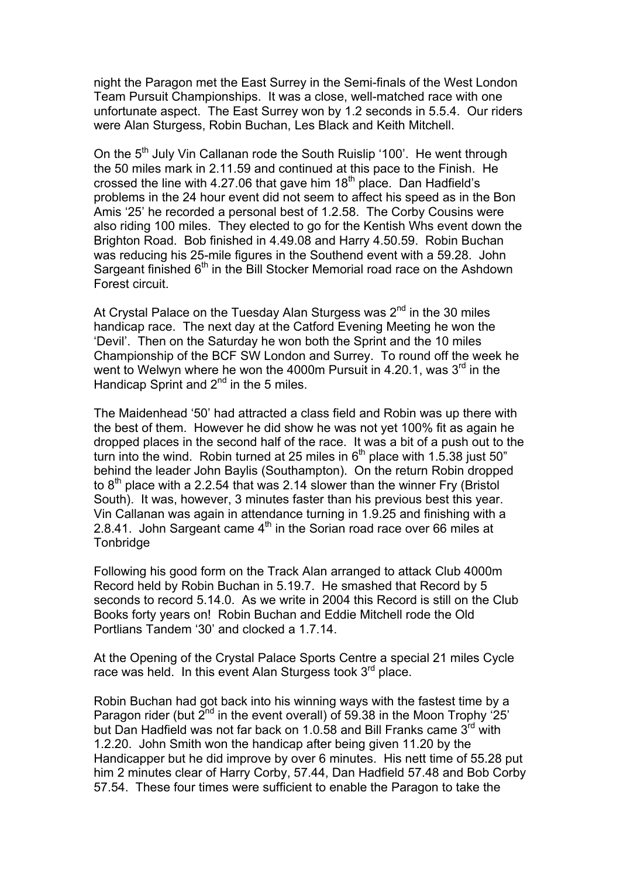night the Paragon met the East Surrey in the Semi-finals of the West London Team Pursuit Championships. It was a close, well-matched race with one unfortunate aspect. The East Surrey won by 1.2 seconds in 5.5.4. Our riders were Alan Sturgess, Robin Buchan, Les Black and Keith Mitchell.

On the 5<sup>th</sup> July Vin Callanan rode the South Ruislip '100'. He went through the 50 miles mark in 2.11.59 and continued at this pace to the Finish. He crossed the line with 4.27.06 that gave him  $18<sup>th</sup>$  place. Dan Hadfield's problems in the 24 hour event did not seem to affect his speed as in the Bon Amis '25' he recorded a personal best of 1.2.58. The Corby Cousins were also riding 100 miles. They elected to go for the Kentish Whs event down the Brighton Road. Bob finished in 4.49.08 and Harry 4.50.59. Robin Buchan was reducing his 25-mile figures in the Southend event with a 59.28. John Sargeant finished 6<sup>th</sup> in the Bill Stocker Memorial road race on the Ashdown Forest circuit.

At Crystal Palace on the Tuesday Alan Sturgess was  $2<sup>nd</sup>$  in the 30 miles handicap race. The next day at the Catford Evening Meeting he won the 'Devil'. Then on the Saturday he won both the Sprint and the 10 miles Championship of the BCF SW London and Surrey. To round off the week he went to Welwyn where he won the 4000m Pursuit in 4.20.1, was  $3<sup>rd</sup>$  in the Handicap Sprint and  $2^{nd}$  in the 5 miles.

The Maidenhead '50' had attracted a class field and Robin was up there with the best of them. However he did show he was not yet 100% fit as again he dropped places in the second half of the race. It was a bit of a push out to the turn into the wind. Robin turned at 25 miles in  $6<sup>th</sup>$  place with 1.5.38 just 50" behind the leader John Baylis (Southampton). On the return Robin dropped to  $8<sup>th</sup>$  place with a 2.2.54 that was 2.14 slower than the winner Fry (Bristol South). It was, however, 3 minutes faster than his previous best this year. Vin Callanan was again in attendance turning in 1.9.25 and finishing with a 2.8.41. John Sargeant came  $4<sup>th</sup>$  in the Sorian road race over 66 miles at Tonbridge

Following his good form on the Track Alan arranged to attack Club 4000m Record held by Robin Buchan in 5.19.7. He smashed that Record by 5 seconds to record 5.14.0. As we write in 2004 this Record is still on the Club Books forty years on! Robin Buchan and Eddie Mitchell rode the Old Portlians Tandem '30' and clocked a 1.7.14.

At the Opening of the Crystal Palace Sports Centre a special 21 miles Cycle race was held. In this event Alan Sturgess took 3<sup>rd</sup> place.

Robin Buchan had got back into his winning ways with the fastest time by a Paragon rider (but  $2^{nd}$  in the event overall) of 59.38 in the Moon Trophy '25' but Dan Hadfield was not far back on 1.0.58 and Bill Franks came 3<sup>rd</sup> with 1.2.20. John Smith won the handicap after being given 11.20 by the Handicapper but he did improve by over 6 minutes. His nett time of 55.28 put him 2 minutes clear of Harry Corby, 57.44, Dan Hadfield 57.48 and Bob Corby 57.54. These four times were sufficient to enable the Paragon to take the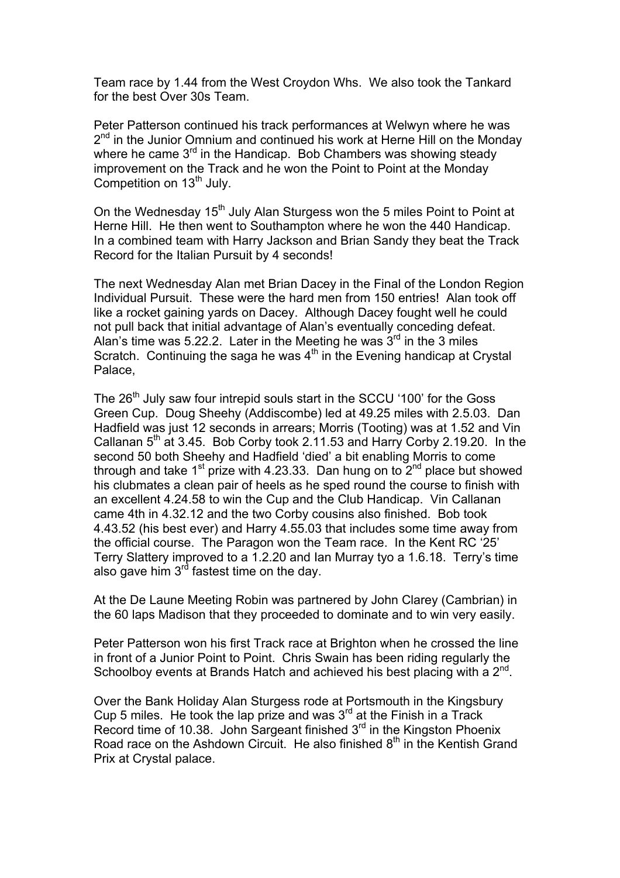Team race by 1.44 from the West Croydon Whs. We also took the Tankard for the best Over 30s Team.

Peter Patterson continued his track performances at Welwyn where he was  $2<sup>nd</sup>$  in the Junior Omnium and continued his work at Herne Hill on the Monday where he came 3<sup>rd</sup> in the Handicap. Bob Chambers was showing steady improvement on the Track and he won the Point to Point at the Monday Competition on 13<sup>th</sup> July.

On the Wednesday 15<sup>th</sup> July Alan Sturgess won the 5 miles Point to Point at Herne Hill. He then went to Southampton where he won the 440 Handicap. In a combined team with Harry Jackson and Brian Sandy they beat the Track Record for the Italian Pursuit by 4 seconds!

The next Wednesday Alan met Brian Dacey in the Final of the London Region Individual Pursuit. These were the hard men from 150 entries! Alan took off like a rocket gaining yards on Dacey. Although Dacey fought well he could not pull back that initial advantage of Alan's eventually conceding defeat. Alan's time was 5.22.2. Later in the Meeting he was  $3<sup>rd</sup>$  in the 3 miles Scratch. Continuing the saga he was  $4<sup>th</sup>$  in the Evening handicap at Crystal Palace,

The 26<sup>th</sup> July saw four intrepid souls start in the SCCU '100' for the Goss Green Cup. Doug Sheehy (Addiscombe) led at 49.25 miles with 2.5.03. Dan Hadfield was just 12 seconds in arrears; Morris (Tooting) was at 1.52 and Vin Callanan  $5<sup>th</sup>$  at 3.45. Bob Corby took 2.11.53 and Harry Corby 2.19.20. In the second 50 both Sheehy and Hadfield 'died' a bit enabling Morris to come through and take 1<sup>st</sup> prize with 4.23.33. Dan hung on to  $2<sup>nd</sup>$  place but showed his clubmates a clean pair of heels as he sped round the course to finish with an excellent 4.24.58 to win the Cup and the Club Handicap. Vin Callanan came 4th in 4.32.12 and the two Corby cousins also finished. Bob took 4.43.52 (his best ever) and Harry 4.55.03 that includes some time away from the official course. The Paragon won the Team race. In the Kent RC '25' Terry Slattery improved to a 1.2.20 and Ian Murray tyo a 1.6.18. Terry's time also gave him  $3^{rd}$  fastest time on the day.

At the De Laune Meeting Robin was partnered by John Clarey (Cambrian) in the 60 laps Madison that they proceeded to dominate and to win very easily.

Peter Patterson won his first Track race at Brighton when he crossed the line in front of a Junior Point to Point. Chris Swain has been riding regularly the Schoolboy events at Brands Hatch and achieved his best placing with a 2<sup>nd</sup>.

Over the Bank Holiday Alan Sturgess rode at Portsmouth in the Kingsbury Cup 5 miles. He took the lap prize and was  $3<sup>rd</sup>$  at the Finish in a Track Record time of 10.38. John Sargeant finished 3<sup>rd</sup> in the Kingston Phoenix Road race on the Ashdown Circuit. He also finished 8<sup>th</sup> in the Kentish Grand Prix at Crystal palace.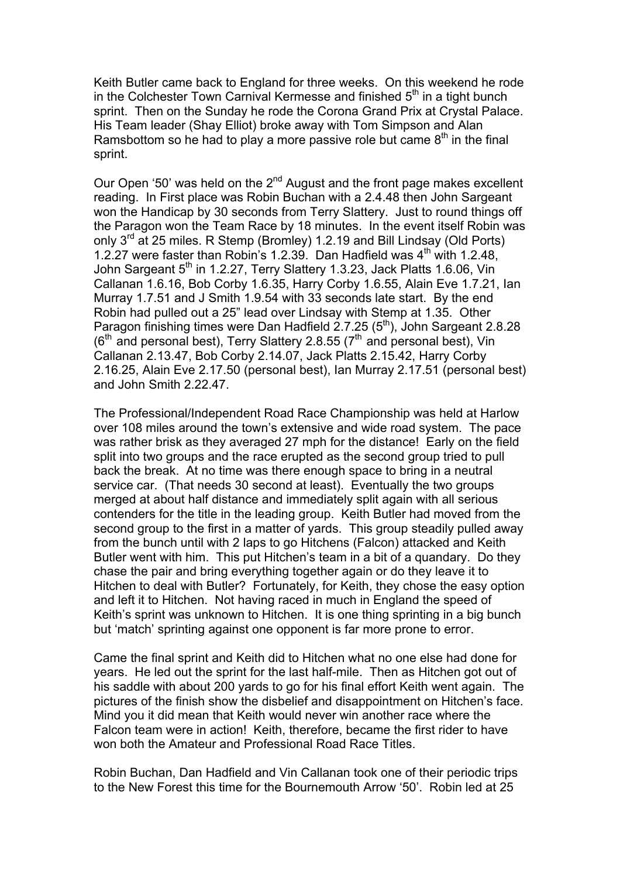Keith Butler came back to England for three weeks. On this weekend he rode in the Colchester Town Carnival Kermesse and finished  $5<sup>th</sup>$  in a tight bunch sprint. Then on the Sunday he rode the Corona Grand Prix at Crystal Palace. His Team leader (Shay Elliot) broke away with Tom Simpson and Alan Ramsbottom so he had to play a more passive role but came  $8<sup>th</sup>$  in the final sprint.

Our Open '50' was held on the  $2<sup>nd</sup>$  August and the front page makes excellent reading. In First place was Robin Buchan with a 2.4.48 then John Sargeant won the Handicap by 30 seconds from Terry Slattery. Just to round things off the Paragon won the Team Race by 18 minutes. In the event itself Robin was only 3<sup>rd</sup> at 25 miles. R Stemp (Bromley) 1.2.19 and Bill Lindsay (Old Ports) 1.2.27 were faster than Robin's 1.2.39. Dan Hadfield was  $4<sup>th</sup>$  with 1.2.48, John Sargeant 5<sup>th</sup> in 1.2.27, Terry Slattery 1.3.23, Jack Platts 1.6.06, Vin Callanan 1.6.16, Bob Corby 1.6.35, Harry Corby 1.6.55, Alain Eve 1.7.21, Ian Murray 1.7.51 and J Smith 1.9.54 with 33 seconds late start. By the end Robin had pulled out a 25" lead over Lindsay with Stemp at 1.35. Other Paragon finishing times were Dan Hadfield 2.7.25 (5<sup>th</sup>), John Sargeant 2.8.28  $(6<sup>th</sup>$  and personal best), Terry Slattery 2.8.55 ( $7<sup>th</sup>$  and personal best), Vin Callanan 2.13.47, Bob Corby 2.14.07, Jack Platts 2.15.42, Harry Corby 2.16.25, Alain Eve 2.17.50 (personal best), Ian Murray 2.17.51 (personal best) and John Smith 2.22.47.

The Professional/Independent Road Race Championship was held at Harlow over 108 miles around the town's extensive and wide road system. The pace was rather brisk as they averaged 27 mph for the distance! Early on the field split into two groups and the race erupted as the second group tried to pull back the break. At no time was there enough space to bring in a neutral service car. (That needs 30 second at least). Eventually the two groups merged at about half distance and immediately split again with all serious contenders for the title in the leading group. Keith Butler had moved from the second group to the first in a matter of yards. This group steadily pulled away from the bunch until with 2 laps to go Hitchens (Falcon) attacked and Keith Butler went with him. This put Hitchen's team in a bit of a quandary. Do they chase the pair and bring everything together again or do they leave it to Hitchen to deal with Butler? Fortunately, for Keith, they chose the easy option and left it to Hitchen. Not having raced in much in England the speed of Keith's sprint was unknown to Hitchen. It is one thing sprinting in a big bunch but 'match' sprinting against one opponent is far more prone to error.

Came the final sprint and Keith did to Hitchen what no one else had done for years. He led out the sprint for the last half-mile. Then as Hitchen got out of his saddle with about 200 yards to go for his final effort Keith went again. The pictures of the finish show the disbelief and disappointment on Hitchen's face. Mind you it did mean that Keith would never win another race where the Falcon team were in action! Keith, therefore, became the first rider to have won both the Amateur and Professional Road Race Titles.

Robin Buchan, Dan Hadfield and Vin Callanan took one of their periodic trips to the New Forest this time for the Bournemouth Arrow '50'. Robin led at 25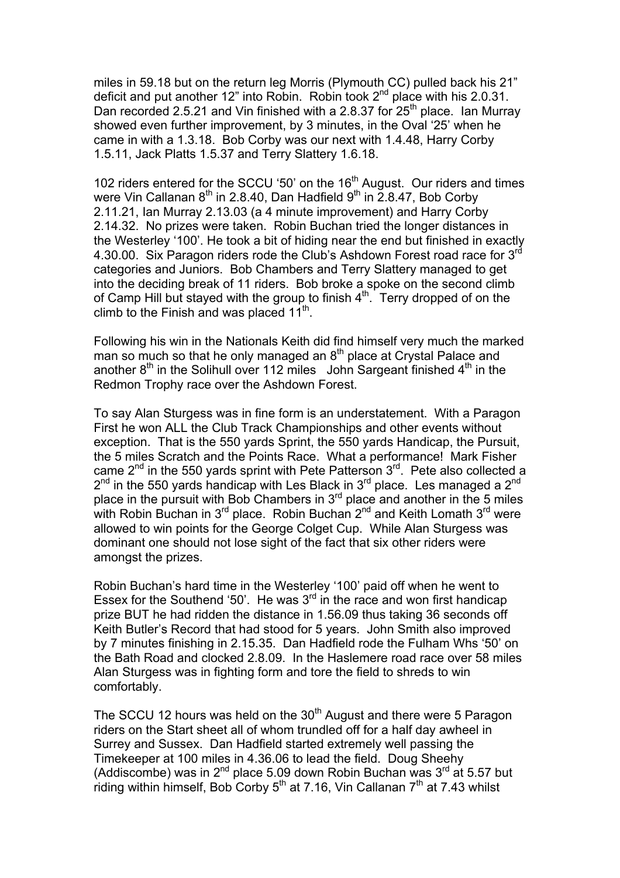miles in 59.18 but on the return leg Morris (Plymouth CC) pulled back his 21" deficit and put another 12" into Robin. Robin took 2<sup>nd</sup> place with his 2.0.31. Dan recorded 2.5.21 and Vin finished with a 2.8.37 for  $25<sup>th</sup>$  place. Ian Murray showed even further improvement, by 3 minutes, in the Oval '25' when he came in with a 1.3.18. Bob Corby was our next with 1.4.48, Harry Corby 1.5.11, Jack Platts 1.5.37 and Terry Slattery 1.6.18.

102 riders entered for the SCCU '50' on the 16<sup>th</sup> August. Our riders and times were Vin Callanan  $8<sup>th</sup>$  in 2.8.40, Dan Hadfield  $9<sup>th</sup>$  in 2.8.47, Bob Corby 2.11.21, Ian Murray 2.13.03 (a 4 minute improvement) and Harry Corby 2.14.32. No prizes were taken. Robin Buchan tried the longer distances in the Westerley '100'. He took a bit of hiding near the end but finished in exactly 4.30.00. Six Paragon riders rode the Club's Ashdown Forest road race for  $3<sup>rd</sup>$ categories and Juniors. Bob Chambers and Terry Slattery managed to get into the deciding break of 11 riders. Bob broke a spoke on the second climb of Camp Hill but stayed with the group to finish  $4<sup>th</sup>$ . Terry dropped of on the climb to the Finish and was placed  $11<sup>th</sup>$ .

Following his win in the Nationals Keith did find himself very much the marked man so much so that he only managed an  $8<sup>th</sup>$  place at Crystal Palace and another  $8<sup>th</sup>$  in the Solihull over 112 miles John Sargeant finished  $4<sup>th</sup>$  in the Redmon Trophy race over the Ashdown Forest.

To say Alan Sturgess was in fine form is an understatement. With a Paragon First he won ALL the Club Track Championships and other events without exception. That is the 550 yards Sprint, the 550 yards Handicap, the Pursuit, the 5 miles Scratch and the Points Race. What a performance! Mark Fisher came  $2<sup>nd</sup>$  in the 550 yards sprint with Pete Patterson  $3<sup>rd</sup>$ . Pete also collected a  $2<sup>nd</sup>$  in the 550 vards handicap with Les Black in 3<sup>rd</sup> place. Les managed a  $2<sup>nd</sup>$ place in the pursuit with Bob Chambers in  $3<sup>rd</sup>$  place and another in the 5 miles with Robin Buchan in  $3<sup>rd</sup>$  place. Robin Buchan  $2<sup>nd</sup>$  and Keith Lomath  $3<sup>rd</sup>$  were allowed to win points for the George Colget Cup. While Alan Sturgess was dominant one should not lose sight of the fact that six other riders were amongst the prizes.

Robin Buchan's hard time in the Westerley '100' paid off when he went to Essex for the Southend '50'. He was  $3<sup>rd</sup>$  in the race and won first handicap prize BUT he had ridden the distance in 1.56.09 thus taking 36 seconds off Keith Butler's Record that had stood for 5 years. John Smith also improved by 7 minutes finishing in 2.15.35. Dan Hadfield rode the Fulham Whs '50' on the Bath Road and clocked 2.8.09. In the Haslemere road race over 58 miles Alan Sturgess was in fighting form and tore the field to shreds to win comfortably.

The SCCU 12 hours was held on the  $30<sup>th</sup>$  August and there were 5 Paragon riders on the Start sheet all of whom trundled off for a half day awheel in Surrey and Sussex. Dan Hadfield started extremely well passing the Timekeeper at 100 miles in 4.36.06 to lead the field. Doug Sheehy (Addiscombe) was in  $2^{nd}$  place 5.09 down Robin Buchan was  $3^{rd}$  at 5.57 but riding within himself, Bob Corby  $5<sup>th</sup>$  at 7.16, Vin Callanan  $7<sup>th</sup>$  at 7.43 whilst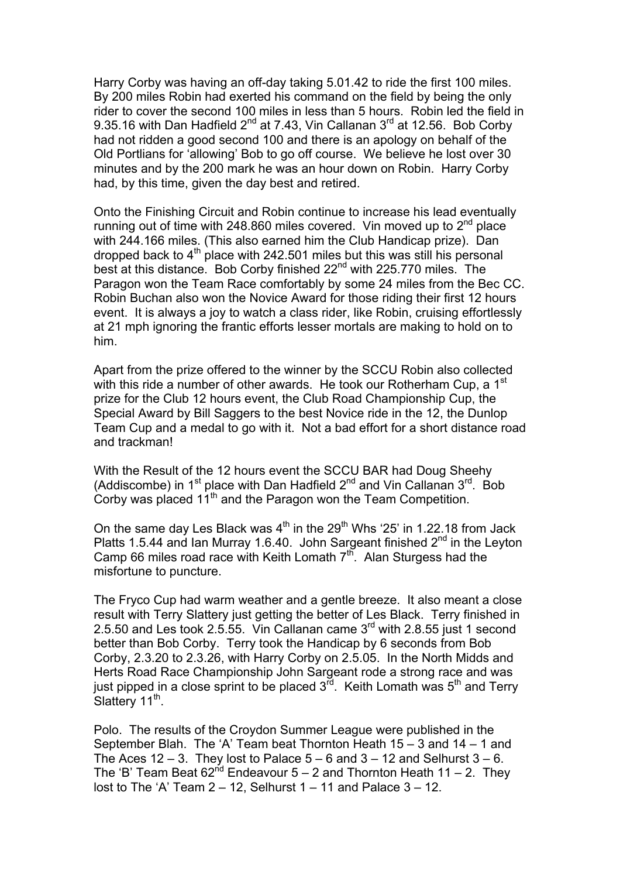Harry Corby was having an off-day taking 5.01.42 to ride the first 100 miles. By 200 miles Robin had exerted his command on the field by being the only rider to cover the second 100 miles in less than 5 hours. Robin led the field in 9.35.16 with Dan Hadfield  $2^{nd}$  at 7.43, Vin Callanan  $3^{rd}$  at 12.56. Bob Corby had not ridden a good second 100 and there is an apology on behalf of the Old Portlians for 'allowing' Bob to go off course. We believe he lost over 30 minutes and by the 200 mark he was an hour down on Robin. Harry Corby had, by this time, given the day best and retired.

Onto the Finishing Circuit and Robin continue to increase his lead eventually running out of time with 248.860 miles covered. Vin moved up to  $2<sup>nd</sup>$  place with 244.166 miles. (This also earned him the Club Handicap prize). Dan dropped back to  $4<sup>th</sup>$  place with 242.501 miles but this was still his personal best at this distance. Bob Corby finished 22<sup>nd</sup> with 225.770 miles. The Paragon won the Team Race comfortably by some 24 miles from the Bec CC. Robin Buchan also won the Novice Award for those riding their first 12 hours event. It is always a joy to watch a class rider, like Robin, cruising effortlessly at 21 mph ignoring the frantic efforts lesser mortals are making to hold on to him.

Apart from the prize offered to the winner by the SCCU Robin also collected with this ride a number of other awards. He took our Rotherham Cup, a 1<sup>st</sup> prize for the Club 12 hours event, the Club Road Championship Cup, the Special Award by Bill Saggers to the best Novice ride in the 12, the Dunlop Team Cup and a medal to go with it. Not a bad effort for a short distance road and trackman!

With the Result of the 12 hours event the SCCU BAR had Doug Sheehy (Addiscombe) in  $1^{st}$  place with Dan Hadfield  $2^{nd}$  and Vin Callanan  $3^{rd}$ . Bob Corby was placed  $11^{th}$  and the Paragon won the Team Competition.

On the same day Les Black was  $4<sup>th</sup>$  in the 29<sup>th</sup> Whs '25' in 1.22.18 from Jack Platts 1.5.44 and Ian Murray 1.6.40. John Sargeant finished  $2^{nd}$  in the Leyton Camp 66 miles road race with Keith Lomath  $7<sup>th</sup>$ . Alan Sturgess had the misfortune to puncture.

The Fryco Cup had warm weather and a gentle breeze. It also meant a close result with Terry Slattery just getting the better of Les Black. Terry finished in 2.5.50 and Les took 2.5.55. Vin Callanan came  $3<sup>rd</sup>$  with 2.8.55 just 1 second better than Bob Corby. Terry took the Handicap by 6 seconds from Bob Corby, 2.3.20 to 2.3.26, with Harry Corby on 2.5.05. In the North Midds and Herts Road Race Championship John Sargeant rode a strong race and was just pipped in a close sprint to be placed  $3^{\overline{r}d}$ . Keith Lomath was  $5<sup>th</sup>$  and Terry Slattery  $11^{th}$ .

Polo. The results of the Croydon Summer League were published in the September Blah. The 'A' Team beat Thornton Heath 15 – 3 and 14 – 1 and The Aces 12 – 3. They lost to Palace  $5 - 6$  and  $3 - 12$  and Selhurst  $3 - 6$ . The 'B' Team Beat  $62^{nd}$  Endeavour 5 – 2 and Thornton Heath 11 – 2. They lost to The 'A' Team  $2 - 12$ , Selhurst  $1 - 11$  and Palace  $3 - 12$ .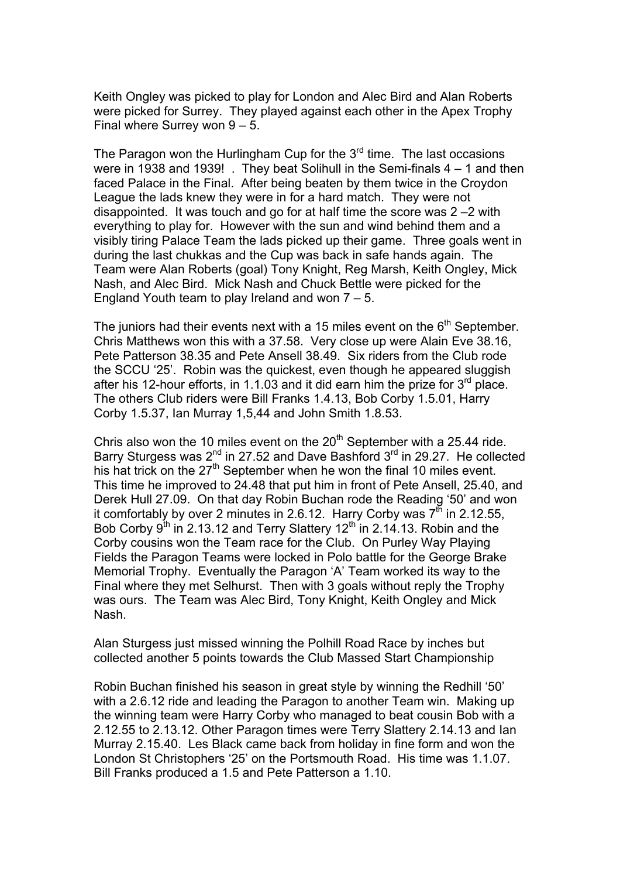Keith Ongley was picked to play for London and Alec Bird and Alan Roberts were picked for Surrey. They played against each other in the Apex Trophy Final where Surrey won  $9 - 5$ .

The Paragon won the Hurlingham Cup for the  $3<sup>rd</sup>$  time. The last occasions were in 1938 and 1939! . They beat Solihull in the Semi-finals 4 – 1 and then faced Palace in the Final. After being beaten by them twice in the Croydon League the lads knew they were in for a hard match. They were not disappointed. It was touch and go for at half time the score was 2 –2 with everything to play for. However with the sun and wind behind them and a visibly tiring Palace Team the lads picked up their game. Three goals went in during the last chukkas and the Cup was back in safe hands again. The Team were Alan Roberts (goal) Tony Knight, Reg Marsh, Keith Ongley, Mick Nash, and Alec Bird. Mick Nash and Chuck Bettle were picked for the England Youth team to play Ireland and won 7 – 5.

The juniors had their events next with a 15 miles event on the  $6<sup>th</sup>$  September. Chris Matthews won this with a 37.58. Very close up were Alain Eve 38.16, Pete Patterson 38.35 and Pete Ansell 38.49. Six riders from the Club rode the SCCU '25'. Robin was the quickest, even though he appeared sluggish after his 12-hour efforts, in 1.1.03 and it did earn him the prize for  $3<sup>rd</sup>$  place. The others Club riders were Bill Franks 1.4.13, Bob Corby 1.5.01, Harry Corby 1.5.37, Ian Murray 1,5,44 and John Smith 1.8.53.

Chris also won the 10 miles event on the  $20<sup>th</sup>$  September with a 25.44 ride. Barry Sturgess was  $2^{nd}$  in 27.52 and Dave Bashford  $3^{rd}$  in 29.27. He collected his hat trick on the  $27<sup>th</sup>$  September when he won the final 10 miles event. This time he improved to 24.48 that put him in front of Pete Ansell, 25.40, and Derek Hull 27.09. On that day Robin Buchan rode the Reading '50' and won it comfortably by over 2 minutes in 2.6.12. Harry Corby was  $7<sup>th</sup>$  in 2.12.55, Bob Corby  $9^{th}$  in 2.13.12 and Terry Slattery 12<sup>th</sup> in 2.14.13. Robin and the Corby cousins won the Team race for the Club. On Purley Way Playing Fields the Paragon Teams were locked in Polo battle for the George Brake Memorial Trophy. Eventually the Paragon 'A' Team worked its way to the Final where they met Selhurst. Then with 3 goals without reply the Trophy was ours. The Team was Alec Bird, Tony Knight, Keith Ongley and Mick Nash.

Alan Sturgess just missed winning the Polhill Road Race by inches but collected another 5 points towards the Club Massed Start Championship

Robin Buchan finished his season in great style by winning the Redhill '50' with a 2.6.12 ride and leading the Paragon to another Team win. Making up the winning team were Harry Corby who managed to beat cousin Bob with a 2.12.55 to 2.13.12. Other Paragon times were Terry Slattery 2.14.13 and Ian Murray 2.15.40. Les Black came back from holiday in fine form and won the London St Christophers '25' on the Portsmouth Road. His time was 1.1.07. Bill Franks produced a 1.5 and Pete Patterson a 1.10.